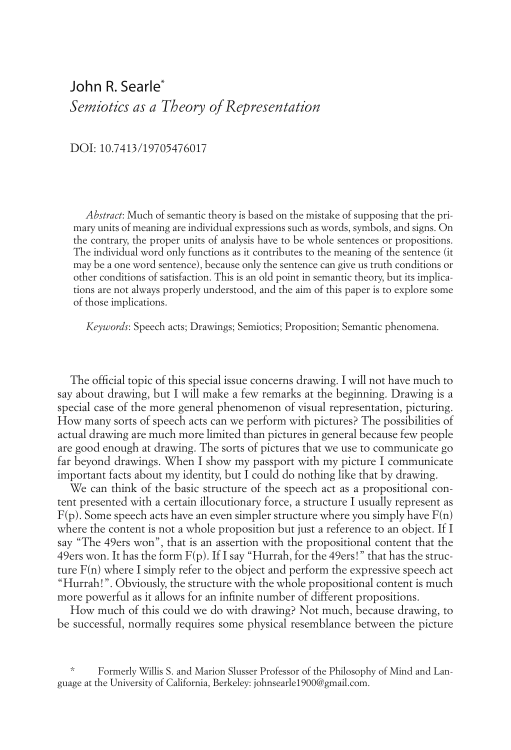## John R. Searle\*1 *Semiotics as a Theory of Representation*

DOI: 10.7413/19705476017

*Abstract*: Much of semantic theory is based on the mistake of supposing that the primary units of meaning are individual expressions such as words, symbols, and signs. On the contrary, the proper units of analysis have to be whole sentences or propositions. The individual word only functions as it contributes to the meaning of the sentence (it may be a one word sentence), because only the sentence can give us truth conditions or other conditions of satisfaction. This is an old point in semantic theory, but its implications are not always properly understood, and the aim of this paper is to explore some of those implications.

*Keywords*: Speech acts; Drawings; Semiotics; Proposition; Semantic phenomena.

The official topic of this special issue concerns drawing. I will not have much to say about drawing, but I will make a few remarks at the beginning. Drawing is a special case of the more general phenomenon of visual representation, picturing. How many sorts of speech acts can we perform with pictures? The possibilities of actual drawing are much more limited than pictures in general because few people are good enough at drawing. The sorts of pictures that we use to communicate go far beyond drawings. When I show my passport with my picture I communicate important facts about my identity, but I could do nothing like that by drawing.

We can think of the basic structure of the speech act as a propositional content presented with a certain illocutionary force, a structure I usually represent as  $F(p)$ . Some speech acts have an even simpler structure where you simply have  $F(n)$ where the content is not a whole proposition but just a reference to an object. If I say "The 49ers won", that is an assertion with the propositional content that the 49ers won. It has the form  $F(p)$ . If I say "Hurrah, for the 49ers!" that has the structure F(n) where I simply refer to the object and perform the expressive speech act "Hurrah!". Obviously, the structure with the whole propositional content is much more powerful as it allows for an infinite number of different propositions.

How much of this could we do with drawing? Not much, because drawing, to be successful, normally requires some physical resemblance between the picture

\*1 Formerly Willis S. and Marion Slusser Professor of the Philosophy of Mind and Language at the University of California, Berkeley: johnsearle1900@gmail.com.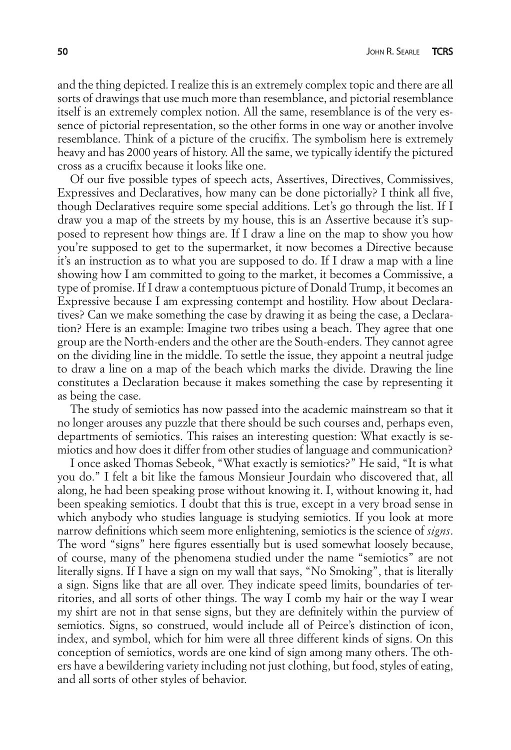and the thing depicted. I realize this is an extremely complex topic and there are all sorts of drawings that use much more than resemblance, and pictorial resemblance itself is an extremely complex notion. All the same, resemblance is of the very essence of pictorial representation, so the other forms in one way or another involve resemblance. Think of a picture of the crucifix. The symbolism here is extremely heavy and has 2000 years of history. All the same, we typically identify the pictured cross as a crucifix because it looks like one.

Of our five possible types of speech acts, Assertives, Directives, Commissives, Expressives and Declaratives, how many can be done pictorially? I think all five, though Declaratives require some special additions. Let's go through the list. If I draw you a map of the streets by my house, this is an Assertive because it's supposed to represent how things are. If I draw a line on the map to show you how you're supposed to get to the supermarket, it now becomes a Directive because it's an instruction as to what you are supposed to do. If I draw a map with a line showing how I am committed to going to the market, it becomes a Commissive, a type of promise. If I draw a contemptuous picture of Donald Trump, it becomes an Expressive because I am expressing contempt and hostility. How about Declaratives? Can we make something the case by drawing it as being the case, a Declaration? Here is an example: Imagine two tribes using a beach. They agree that one group are the North-enders and the other are the South-enders. They cannot agree on the dividing line in the middle. To settle the issue, they appoint a neutral judge to draw a line on a map of the beach which marks the divide. Drawing the line constitutes a Declaration because it makes something the case by representing it as being the case.

The study of semiotics has now passed into the academic mainstream so that it no longer arouses any puzzle that there should be such courses and, perhaps even, departments of semiotics. This raises an interesting question: What exactly is semiotics and how does it differ from other studies of language and communication?

I once asked Thomas Sebeok, "What exactly is semiotics?" He said, "It is what you do." I felt a bit like the famous Monsieur Jourdain who discovered that, all along, he had been speaking prose without knowing it. I, without knowing it, had been speaking semiotics. I doubt that this is true, except in a very broad sense in which anybody who studies language is studying semiotics. If you look at more narrow definitions which seem more enlightening, semiotics is the science of *signs*. The word "signs" here figures essentially but is used somewhat loosely because, of course, many of the phenomena studied under the name "semiotics" are not literally signs. If I have a sign on my wall that says, "No Smoking", that is literally a sign. Signs like that are all over. They indicate speed limits, boundaries of territories, and all sorts of other things. The way I comb my hair or the way I wear my shirt are not in that sense signs, but they are definitely within the purview of semiotics. Signs, so construed, would include all of Peirce's distinction of icon, index, and symbol, which for him were all three different kinds of signs. On this conception of semiotics, words are one kind of sign among many others. The others have a bewildering variety including not just clothing, but food, styles of eating, and all sorts of other styles of behavior.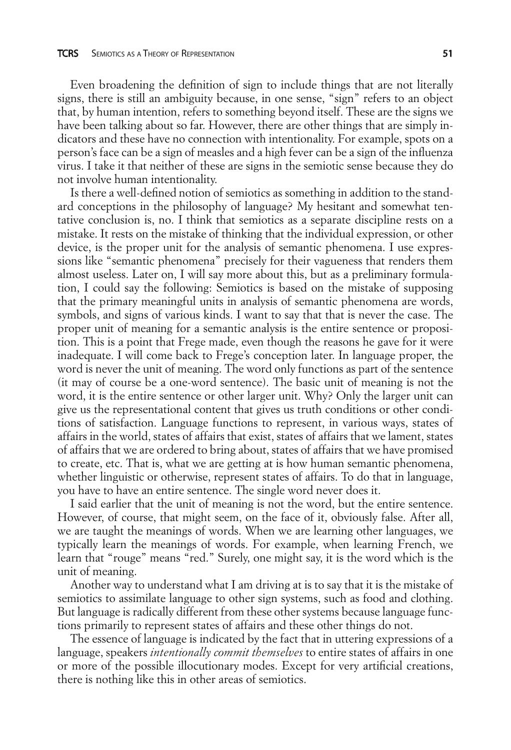Even broadening the definition of sign to include things that are not literally signs, there is still an ambiguity because, in one sense, "sign" refers to an object that, by human intention, refers to something beyond itself. These are the signs we have been talking about so far. However, there are other things that are simply indicators and these have no connection with intentionality. For example, spots on a person's face can be a sign of measles and a high fever can be a sign of the influenza virus. I take it that neither of these are signs in the semiotic sense because they do not involve human intentionality.

Is there a well-defined notion of semiotics as something in addition to the standard conceptions in the philosophy of language? My hesitant and somewhat tentative conclusion is, no. I think that semiotics as a separate discipline rests on a mistake. It rests on the mistake of thinking that the individual expression, or other device, is the proper unit for the analysis of semantic phenomena. I use expressions like "semantic phenomena" precisely for their vagueness that renders them almost useless. Later on, I will say more about this, but as a preliminary formulation, I could say the following: Semiotics is based on the mistake of supposing that the primary meaningful units in analysis of semantic phenomena are words, symbols, and signs of various kinds. I want to say that that is never the case. The proper unit of meaning for a semantic analysis is the entire sentence or proposition. This is a point that Frege made, even though the reasons he gave for it were inadequate. I will come back to Frege's conception later. In language proper, the word is never the unit of meaning. The word only functions as part of the sentence (it may of course be a one-word sentence). The basic unit of meaning is not the word, it is the entire sentence or other larger unit. Why? Only the larger unit can give us the representational content that gives us truth conditions or other conditions of satisfaction. Language functions to represent, in various ways, states of affairs in the world, states of affairs that exist, states of affairs that we lament, states of affairs that we are ordered to bring about, states of affairs that we have promised to create, etc. That is, what we are getting at is how human semantic phenomena, whether linguistic or otherwise, represent states of affairs. To do that in language, you have to have an entire sentence. The single word never does it.

I said earlier that the unit of meaning is not the word, but the entire sentence. However, of course, that might seem, on the face of it, obviously false. After all, we are taught the meanings of words. When we are learning other languages, we typically learn the meanings of words. For example, when learning French, we learn that "rouge" means "red." Surely, one might say, it is the word which is the unit of meaning.

Another way to understand what I am driving at is to say that it is the mistake of semiotics to assimilate language to other sign systems, such as food and clothing. But language is radically different from these other systems because language functions primarily to represent states of affairs and these other things do not.

The essence of language is indicated by the fact that in uttering expressions of a language, speakers *intentionally commit themselves* to entire states of affairs in one or more of the possible illocutionary modes. Except for very artificial creations, there is nothing like this in other areas of semiotics.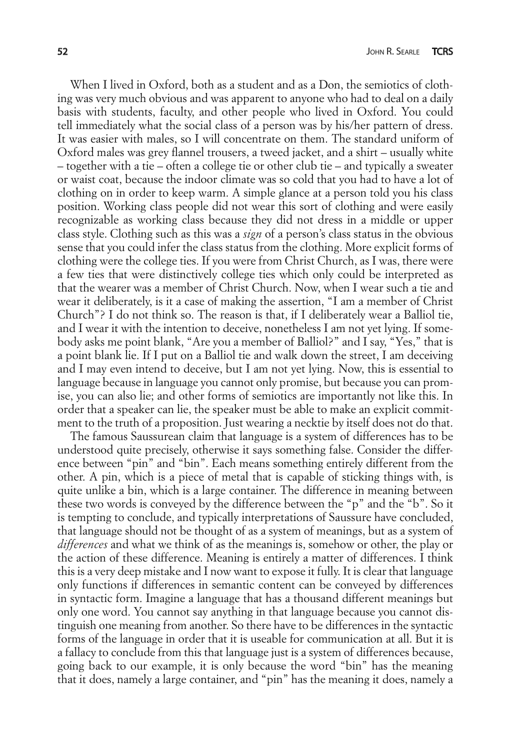When I lived in Oxford, both as a student and as a Don, the semiotics of clothing was very much obvious and was apparent to anyone who had to deal on a daily basis with students, faculty, and other people who lived in Oxford. You could tell immediately what the social class of a person was by his/her pattern of dress. It was easier with males, so I will concentrate on them. The standard uniform of Oxford males was grey flannel trousers, a tweed jacket, and a shirt – usually white – together with a tie – often a college tie or other club tie – and typically a sweater or waist coat, because the indoor climate was so cold that you had to have a lot of clothing on in order to keep warm. A simple glance at a person told you his class position. Working class people did not wear this sort of clothing and were easily recognizable as working class because they did not dress in a middle or upper class style. Clothing such as this was a *sign* of a person's class status in the obvious sense that you could infer the class status from the clothing. More explicit forms of clothing were the college ties. If you were from Christ Church, as I was, there were a few ties that were distinctively college ties which only could be interpreted as that the wearer was a member of Christ Church. Now, when I wear such a tie and wear it deliberately, is it a case of making the assertion, "I am a member of Christ Church"? I do not think so. The reason is that, if I deliberately wear a Balliol tie, and I wear it with the intention to deceive, nonetheless I am not yet lying. If somebody asks me point blank, "Are you a member of Balliol?" and I say, "Yes," that is a point blank lie. If I put on a Balliol tie and walk down the street, I am deceiving and I may even intend to deceive, but I am not yet lying. Now, this is essential to language because in language you cannot only promise, but because you can promise, you can also lie; and other forms of semiotics are importantly not like this. In order that a speaker can lie, the speaker must be able to make an explicit commitment to the truth of a proposition. Just wearing a necktie by itself does not do that.

The famous Saussurean claim that language is a system of differences has to be understood quite precisely, otherwise it says something false. Consider the difference between "pin" and "bin". Each means something entirely different from the other. A pin, which is a piece of metal that is capable of sticking things with, is quite unlike a bin, which is a large container. The difference in meaning between these two words is conveyed by the difference between the "p" and the "b". So it is tempting to conclude, and typically interpretations of Saussure have concluded, that language should not be thought of as a system of meanings, but as a system of *differences* and what we think of as the meanings is, somehow or other, the play or the action of these difference. Meaning is entirely a matter of differences. I think this is a very deep mistake and I now want to expose it fully. It is clear that language only functions if differences in semantic content can be conveyed by differences in syntactic form. Imagine a language that has a thousand different meanings but only one word. You cannot say anything in that language because you cannot distinguish one meaning from another. So there have to be differences in the syntactic forms of the language in order that it is useable for communication at all. But it is a fallacy to conclude from this that language just is a system of differences because, going back to our example, it is only because the word "bin" has the meaning that it does, namely a large container, and "pin" has the meaning it does, namely a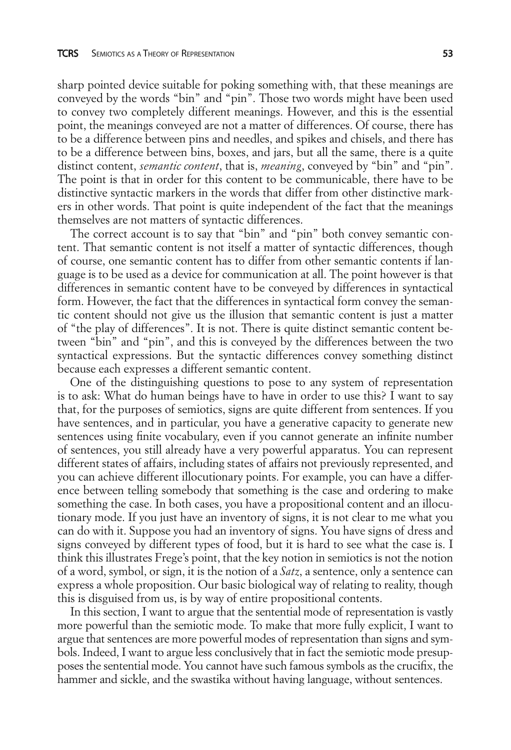sharp pointed device suitable for poking something with, that these meanings are conveyed by the words "bin" and "pin". Those two words might have been used to convey two completely different meanings. However, and this is the essential point, the meanings conveyed are not a matter of differences. Of course, there has to be a difference between pins and needles, and spikes and chisels, and there has to be a difference between bins, boxes, and jars, but all the same, there is a quite distinct content, *semantic content*, that is, *meaning*, conveved by "bin" and "pin". The point is that in order for this content to be communicable, there have to be distinctive syntactic markers in the words that differ from other distinctive markers in other words. That point is quite independent of the fact that the meanings themselves are not matters of syntactic differences.

The correct account is to say that "bin" and "pin" both convey semantic content. That semantic content is not itself a matter of syntactic differences, though of course, one semantic content has to differ from other semantic contents if language is to be used as a device for communication at all. The point however is that differences in semantic content have to be conveyed by differences in syntactical form. However, the fact that the differences in syntactical form convey the semantic content should not give us the illusion that semantic content is just a matter of "the play of differences". It is not. There is quite distinct semantic content between "bin" and "pin", and this is conveyed by the differences between the two syntactical expressions. But the syntactic differences convey something distinct because each expresses a different semantic content.

One of the distinguishing questions to pose to any system of representation is to ask: What do human beings have to have in order to use this? I want to say that, for the purposes of semiotics, signs are quite different from sentences. If you have sentences, and in particular, you have a generative capacity to generate new sentences using finite vocabulary, even if you cannot generate an infinite number of sentences, you still already have a very powerful apparatus. You can represent different states of affairs, including states of affairs not previously represented, and you can achieve different illocutionary points. For example, you can have a difference between telling somebody that something is the case and ordering to make something the case. In both cases, you have a propositional content and an illocutionary mode. If you just have an inventory of signs, it is not clear to me what you can do with it. Suppose you had an inventory of signs. You have signs of dress and signs conveyed by different types of food, but it is hard to see what the case is. I think this illustrates Frege's point, that the key notion in semiotics is not the notion of a word, symbol, or sign, it is the notion of a *Satz*, a sentence, only a sentence can express a whole proposition. Our basic biological way of relating to reality, though this is disguised from us, is by way of entire propositional contents.

In this section, I want to argue that the sentential mode of representation is vastly more powerful than the semiotic mode. To make that more fully explicit, I want to argue that sentences are more powerful modes of representation than signs and symbols. Indeed, I want to argue less conclusively that in fact the semiotic mode presupposes the sentential mode. You cannot have such famous symbols as the crucifix, the hammer and sickle, and the swastika without having language, without sentences.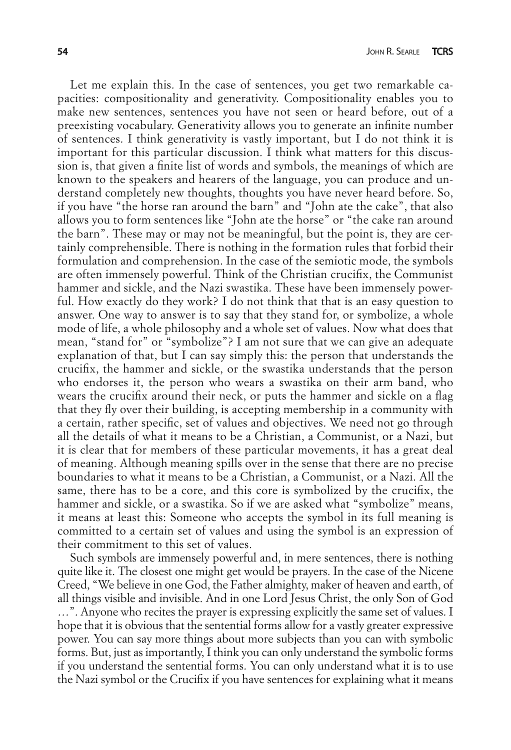Let me explain this. In the case of sentences, you get two remarkable capacities: compositionality and generativity. Compositionality enables you to make new sentences, sentences you have not seen or heard before, out of a preexisting vocabulary. Generativity allows you to generate an infinite number of sentences. I think generativity is vastly important, but I do not think it is important for this particular discussion. I think what matters for this discussion is, that given a finite list of words and symbols, the meanings of which are known to the speakers and hearers of the language, you can produce and understand completely new thoughts, thoughts you have never heard before. So, if you have "the horse ran around the barn" and "John ate the cake", that also allows you to form sentences like "John ate the horse" or "the cake ran around the barn". These may or may not be meaningful, but the point is, they are certainly comprehensible. There is nothing in the formation rules that forbid their formulation and comprehension. In the case of the semiotic mode, the symbols are often immensely powerful. Think of the Christian crucifix, the Communist hammer and sickle, and the Nazi swastika. These have been immensely powerful. How exactly do they work? I do not think that that is an easy question to answer. One way to answer is to say that they stand for, or symbolize, a whole mode of life, a whole philosophy and a whole set of values. Now what does that mean, "stand for" or "symbolize"? I am not sure that we can give an adequate explanation of that, but I can say simply this: the person that understands the crucifix, the hammer and sickle, or the swastika understands that the person who endorses it, the person who wears a swastika on their arm band, who wears the crucifix around their neck, or puts the hammer and sickle on a flag that they fly over their building, is accepting membership in a community with a certain, rather specific, set of values and objectives. We need not go through all the details of what it means to be a Christian, a Communist, or a Nazi, but it is clear that for members of these particular movements, it has a great deal of meaning. Although meaning spills over in the sense that there are no precise boundaries to what it means to be a Christian, a Communist, or a Nazi. All the same, there has to be a core, and this core is symbolized by the crucifix, the hammer and sickle, or a swastika. So if we are asked what "symbolize" means, it means at least this: Someone who accepts the symbol in its full meaning is committed to a certain set of values and using the symbol is an expression of their commitment to this set of values.

Such symbols are immensely powerful and, in mere sentences, there is nothing quite like it. The closest one might get would be prayers. In the case of the Nicene Creed, "We believe in one God, the Father almighty, maker of heaven and earth, of all things visible and invisible. And in one Lord Jesus Christ, the only Son of God …". Anyone who recites the prayer is expressing explicitly the same set of values. I hope that it is obvious that the sentential forms allow for a vastly greater expressive power. You can say more things about more subjects than you can with symbolic forms. But, just as importantly, I think you can only understand the symbolic forms if you understand the sentential forms. You can only understand what it is to use the Nazi symbol or the Crucifix if you have sentences for explaining what it means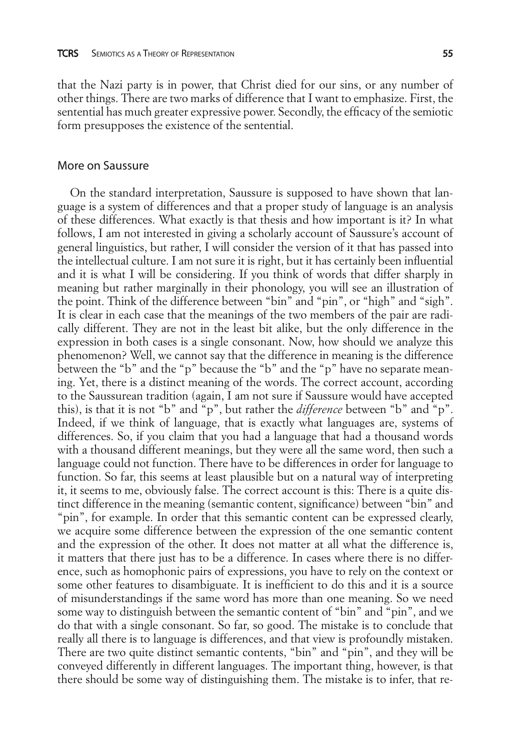that the Nazi party is in power, that Christ died for our sins, or any number of other things. There are two marks of difference that I want to emphasize. First, the sentential has much greater expressive power. Secondly, the efficacy of the semiotic form presupposes the existence of the sentential.

## More on Saussure

On the standard interpretation, Saussure is supposed to have shown that language is a system of differences and that a proper study of language is an analysis of these differences. What exactly is that thesis and how important is it? In what follows, I am not interested in giving a scholarly account of Saussure's account of general linguistics, but rather, I will consider the version of it that has passed into the intellectual culture. I am not sure it is right, but it has certainly been influential and it is what I will be considering. If you think of words that differ sharply in meaning but rather marginally in their phonology, you will see an illustration of the point. Think of the difference between "bin" and "pin", or "high" and "sigh". It is clear in each case that the meanings of the two members of the pair are radically different. They are not in the least bit alike, but the only difference in the expression in both cases is a single consonant. Now, how should we analyze this phenomenon? Well, we cannot say that the difference in meaning is the difference between the "b" and the "p" because the "b" and the "p" have no separate meaning. Yet, there is a distinct meaning of the words. The correct account, according to the Saussurean tradition (again, I am not sure if Saussure would have accepted this), is that it is not "b" and "p", but rather the *difference* between "b" and "p". Indeed, if we think of language, that is exactly what languages are, systems of differences. So, if you claim that you had a language that had a thousand words with a thousand different meanings, but they were all the same word, then such a language could not function. There have to be differences in order for language to function. So far, this seems at least plausible but on a natural way of interpreting it, it seems to me, obviously false. The correct account is this: There is a quite distinct difference in the meaning (semantic content, significance) between "bin" and "pin", for example. In order that this semantic content can be expressed clearly, we acquire some difference between the expression of the one semantic content and the expression of the other. It does not matter at all what the difference is, it matters that there just has to be a difference. In cases where there is no difference, such as homophonic pairs of expressions, you have to rely on the context or some other features to disambiguate. It is inefficient to do this and it is a source of misunderstandings if the same word has more than one meaning. So we need some way to distinguish between the semantic content of "bin" and "pin", and we do that with a single consonant. So far, so good. The mistake is to conclude that really all there is to language is differences, and that view is profoundly mistaken. There are two quite distinct semantic contents, "bin" and "pin", and they will be conveyed differently in different languages. The important thing, however, is that there should be some way of distinguishing them. The mistake is to infer, that re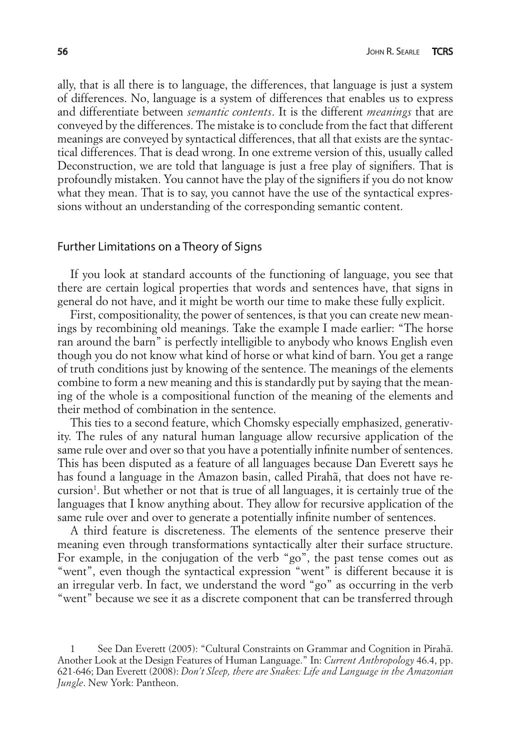ally, that is all there is to language, the differences, that language is just a system of differences. No, language is a system of differences that enables us to express and differentiate between *semantic contents*. It is the different *meanings* that are conveyed by the differences. The mistake is to conclude from the fact that different meanings are conveyed by syntactical differences, that all that exists are the syntactical differences. That is dead wrong. In one extreme version of this, usually called Deconstruction, we are told that language is just a free play of signifiers. That is profoundly mistaken. You cannot have the play of the signifiers if you do not know what they mean. That is to say, you cannot have the use of the syntactical expressions without an understanding of the corresponding semantic content.

## Further Limitations on a Theory of Signs

If you look at standard accounts of the functioning of language, you see that there are certain logical properties that words and sentences have, that signs in general do not have, and it might be worth our time to make these fully explicit.

First, compositionality, the power of sentences, is that you can create new meanings by recombining old meanings. Take the example I made earlier: "The horse ran around the barn" is perfectly intelligible to anybody who knows English even though you do not know what kind of horse or what kind of barn. You get a range of truth conditions just by knowing of the sentence. The meanings of the elements combine to form a new meaning and this is standardly put by saying that the meaning of the whole is a compositional function of the meaning of the elements and their method of combination in the sentence.

This ties to a second feature, which Chomsky especially emphasized, generativity. The rules of any natural human language allow recursive application of the same rule over and over so that you have a potentially infinite number of sentences. This has been disputed as a feature of all languages because Dan Everett says he has found a language in the Amazon basin, called Pirahã, that does not have recursion<sup>1</sup>. But whether or not that is true of all languages, it is certainly true of the languages that I know anything about. They allow for recursive application of the same rule over and over to generate a potentially infinite number of sentences.

A third feature is discreteness. The elements of the sentence preserve their meaning even through transformations syntactically alter their surface structure. For example, in the conjugation of the verb "go", the past tense comes out as "went", even though the syntactical expression "went" is different because it is an irregular verb. In fact, we understand the word "go" as occurring in the verb "went" because we see it as a discrete component that can be transferred through

<sup>1</sup> See Dan Everett (2005): "Cultural Constraints on Grammar and Cognition in Pirahã. Another Look at the Design Features of Human Language." In: *Current Anthropology* 46.4, pp. 621-646; Dan Everett (2008): *Don't Sleep, there are Snakes: Life and Language in the Amazonian Jungle*. New York: Pantheon.